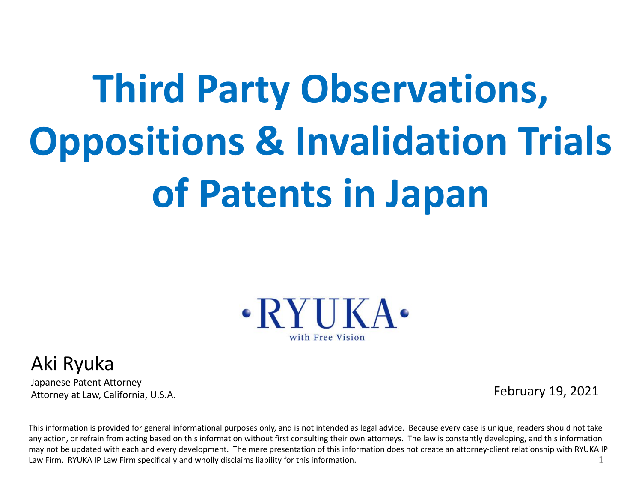# **Third Party Observations, Oppositions & Invalidation Trials of Patents in Japan**



#### Aki Ryuka

Japanese Patent Attorney Attorney at Law, California, U.S.A.

February 19, 2021

This information is provided for general informational purposes only, and is not intended as legal advice. Because every case is unique, readers should not take any action, or refrain from acting based on this information without first consulting their own attorneys. The law is constantly developing, and this information may not be updated with each and every development. The mere presentation of this information does not create an attorney-client relationship with RYUKA IP Law Firm. RYUKA IP Law Firm specifically and wholly disclaims liability for this information. 1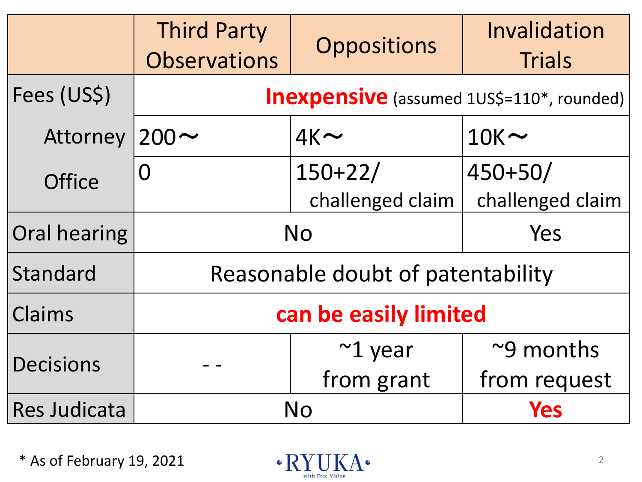|                     | <b>Third Party</b><br><b>Observations</b>        | <b>Oppositions</b>            | Invalidation<br><b>Trials</b> |
|---------------------|--------------------------------------------------|-------------------------------|-------------------------------|
| Fees (US\$)         | <b>Inexpensive</b> (assumed 1US\$=110*, rounded) |                               |                               |
| Attorney            | $200 \sim$                                       | $4K \sim$                     | $10K \sim$                    |
| <b>Office</b>       | O                                                | $150+22/$<br>challenged claim | 450+50/<br>challenged claim   |
| Oral hearing        | <b>No</b>                                        |                               | Yes                           |
| Standard            | Reasonable doubt of patentability                |                               |                               |
| Claims              | can be easily limited                            |                               |                               |
| <b>Decisions</b>    |                                                  | $\sim$ 1 year                 | ~9 months                     |
|                     |                                                  | from grant                    | from request                  |
| <b>Res Judicata</b> | No                                               |                               | Yes                           |

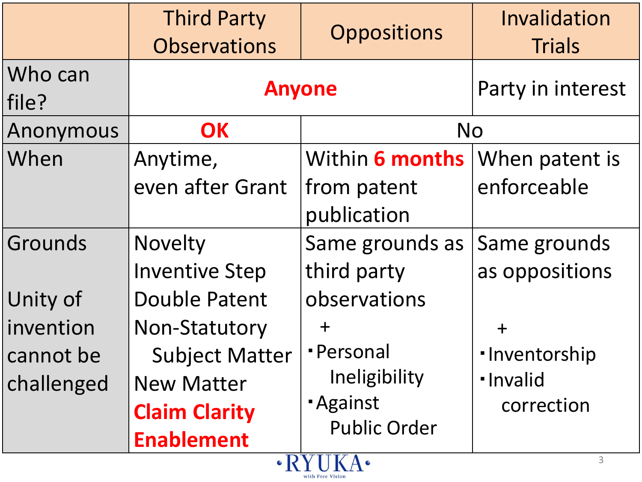|                            | <b>Third Party</b><br><b>Observations</b> | <b>Oppositions</b>         | Invalidation<br><b>Trials</b> |  |
|----------------------------|-------------------------------------------|----------------------------|-------------------------------|--|
| Who can<br>file?           | <b>Anyone</b>                             |                            | Party in interest             |  |
| Anonymous                  | <b>OK</b>                                 | <b>No</b>                  |                               |  |
| When                       | Anytime,                                  | Within 6 months            | When patent is                |  |
|                            | even after Grant                          | from patent<br>publication | enforceable                   |  |
| Grounds                    | Novelty                                   | Same grounds as            | Same grounds                  |  |
|                            | <b>Inventive Step</b>                     | third party                | as oppositions                |  |
| Unity of                   | <b>Double Patent</b>                      | observations               |                               |  |
| invention                  | <b>Non-Statutory</b>                      | $\div$                     | $+$                           |  |
| cannot be                  | <b>Subject Matter</b>                     | · Personal                 | ·Inventorship                 |  |
| challenged                 | <b>New Matter</b>                         | Ineligibility              | · Invalid                     |  |
|                            | <b>Claim Clarity</b>                      | <b>Against</b>             | correction                    |  |
|                            | <b>Enablement</b>                         | <b>Public Order</b>        |                               |  |
| 3<br>$\cdot$ RYUKA $\cdot$ |                                           |                            |                               |  |

with Free Vision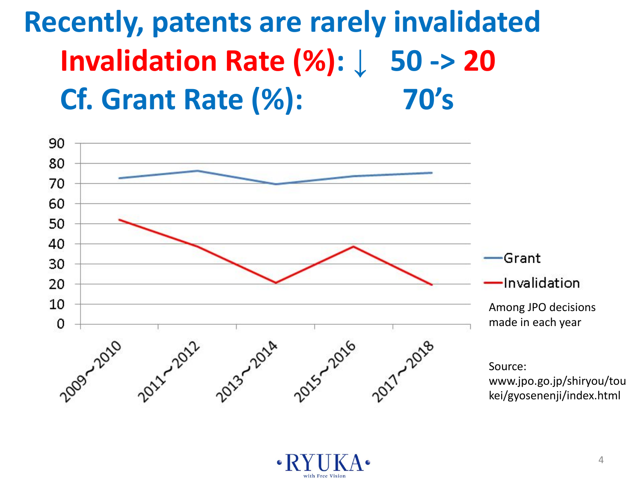### **Recently, patents are rarely invalidated Invalidation Rate (%): ↓ 50 -> 20 Cf. Grant Rate (%): 70's**



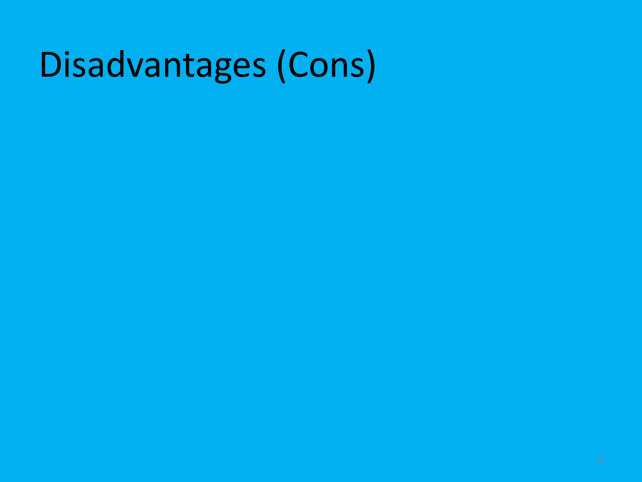### Disadvantages (Cons)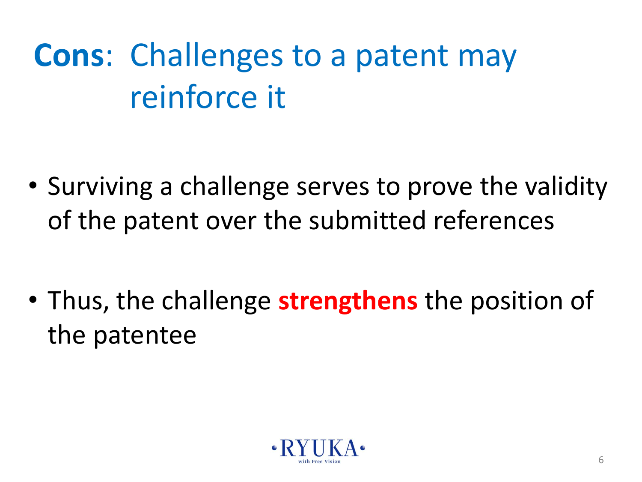### **Cons**: Challenges to a patent may reinforce it

• Surviving a challenge serves to prove the validity of the patent over the submitted references

• Thus, the challenge **strengthens** the position of the patentee

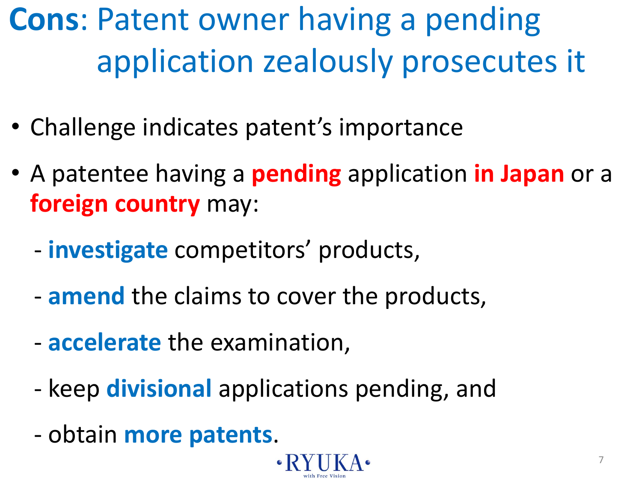**Cons**: Patent owner having a pending application zealously prosecutes it

- Challenge indicates patent's importance
- A patentee having a **pending** application **in Japan** or a **foreign country** may:
	- **investigate** competitors' products,
	- **amend** the claims to cover the products,
	- **accelerate** the examination,
	- keep **divisional** applications pending, and
	- obtain **more patents**.

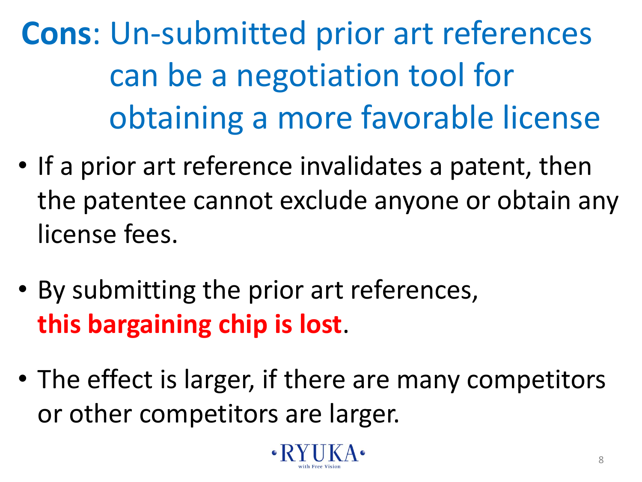**Cons**: Un-submitted prior art references can be a negotiation tool for obtaining a more favorable license

- If a prior art reference invalidates a patent, then the patentee cannot exclude anyone or obtain any license fees.
- By submitting the prior art references, **this bargaining chip is lost**.
- The effect is larger, if there are many competitors or other competitors are larger.

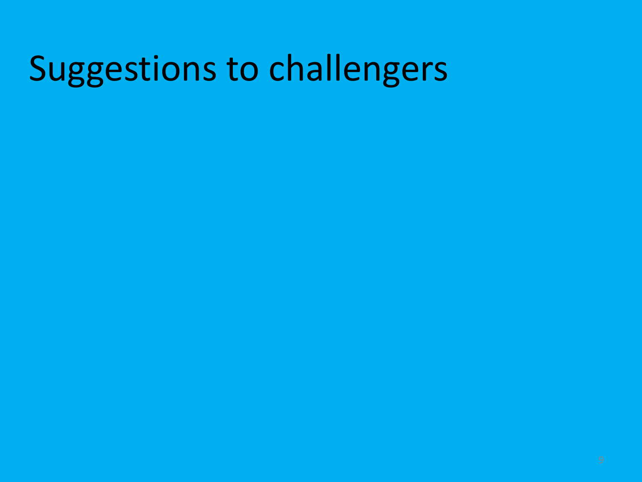### Suggestions to challengers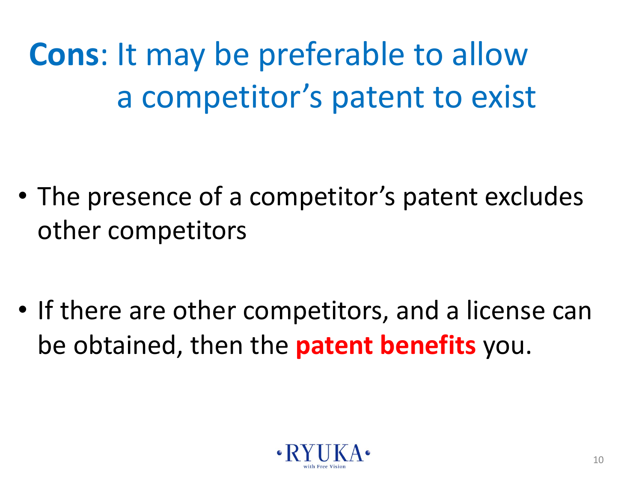**Cons**: It may be preferable to allow a competitor's patent to exist

• The presence of a competitor's patent excludes other competitors

• If there are other competitors, and a license can be obtained, then the **patent benefits** you.

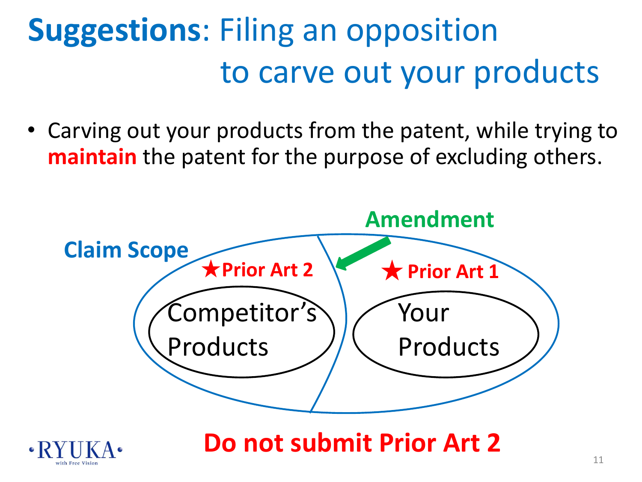### **Suggestions**: Filing an opposition to carve out your products

• Carving out your products from the patent, while trying to **maintain** the patent for the purpose of excluding others.





**Do not submit Prior Art 2**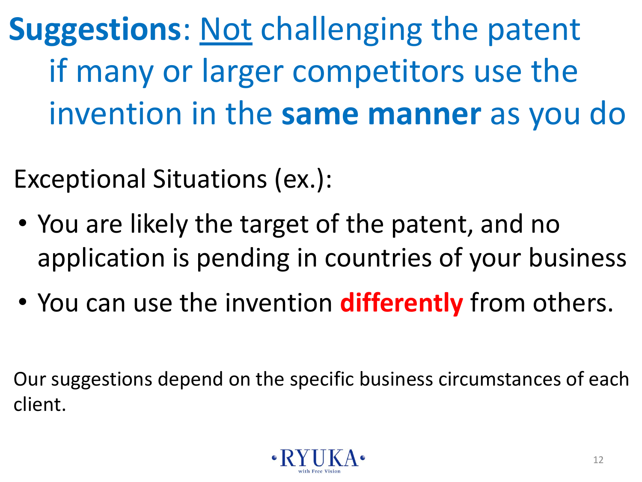**Suggestions**: Not challenging the patent if many or larger competitors use the invention in the **same manner** as you do

Exceptional Situations (ex.):

- You are likely the target of the patent, and no application is pending in countries of your business
- You can use the invention **differently** from others.

Our suggestions depend on the specific business circumstances of each client.

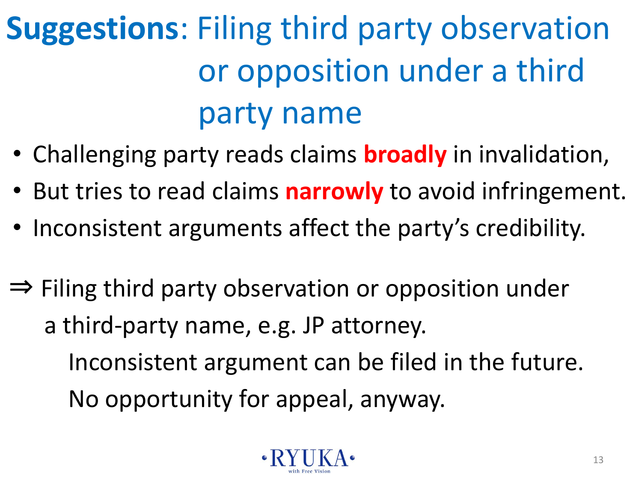### **Suggestions**: Filing third party observation or opposition under a third party name

- Challenging party reads claims **broadly** in invalidation,
- But tries to read claims **narrowly** to avoid infringement.
- Inconsistent arguments affect the party's credibility.
- ⇒ Filing third party observation or opposition under a third-party name, e.g. JP attorney. Inconsistent argument can be filed in the future. No opportunity for appeal, anyway.

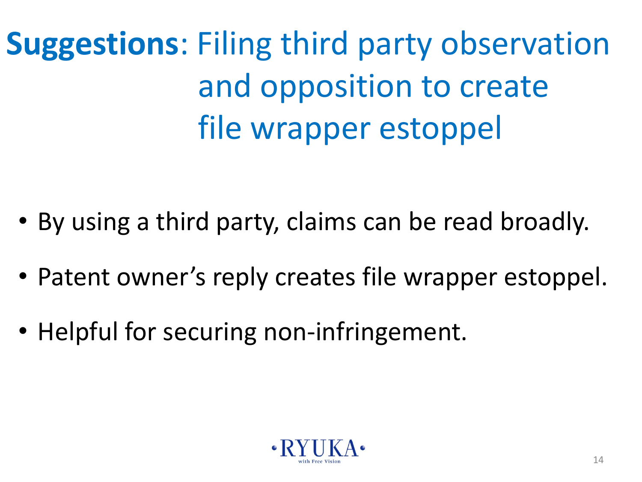**Suggestions**: Filing third party observation and opposition to create file wrapper estoppel

- By using a third party, claims can be read broadly.
- Patent owner's reply creates file wrapper estoppel.
- Helpful for securing non-infringement.

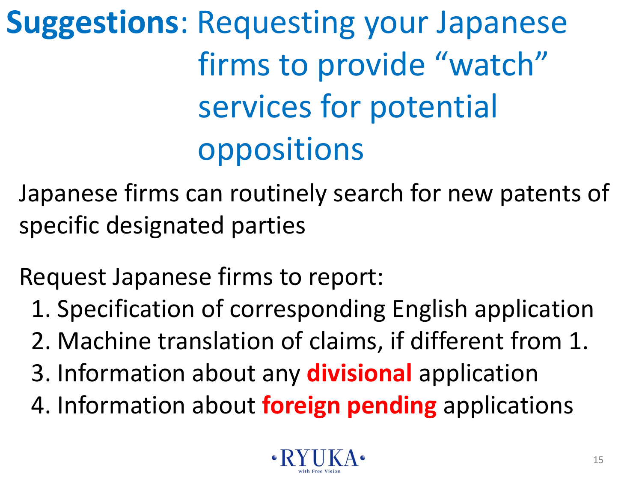**Suggestions**: Requesting your Japanese firms to provide "watch" services for potential oppositions

Japanese firms can routinely search for new patents of specific designated parties

Request Japanese firms to report:

- 1. Specification of corresponding English application
- 2. Machine translation of claims, if different from 1.
- 3. Information about any **divisional** application
- 4. Information about **foreign pending** applications

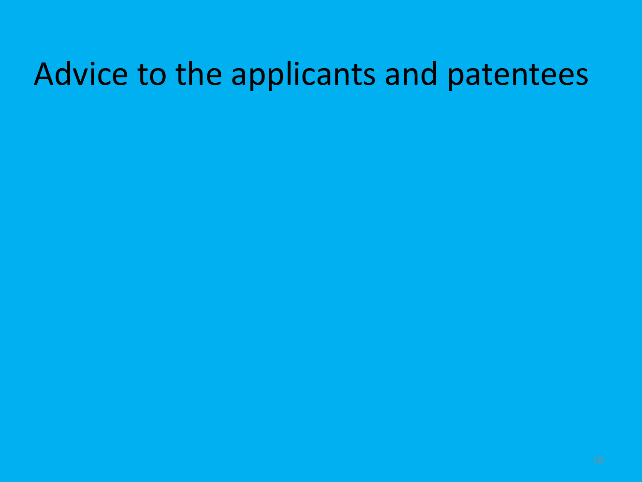#### Advice to the applicants and patentees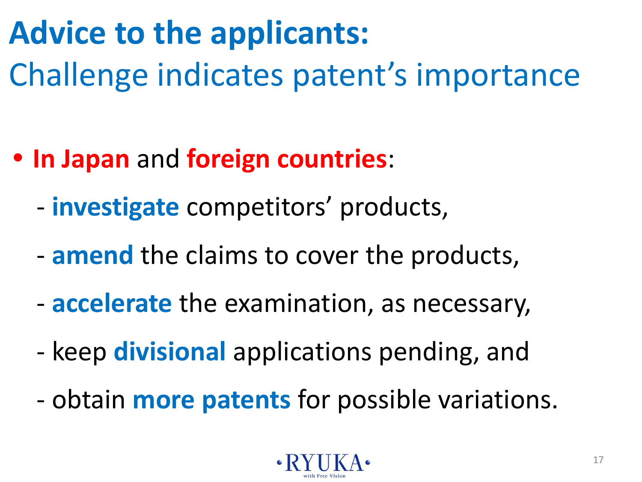### **Advice to the applicants:**  Challenge indicates patent's importance

- **• In Japan** and **foreign countries**:
	- **investigate** competitors' products,
	- **amend** the claims to cover the products,
	- **accelerate** the examination, as necessary,
	- keep **divisional** applications pending, and
	- obtain **more patents** for possible variations.

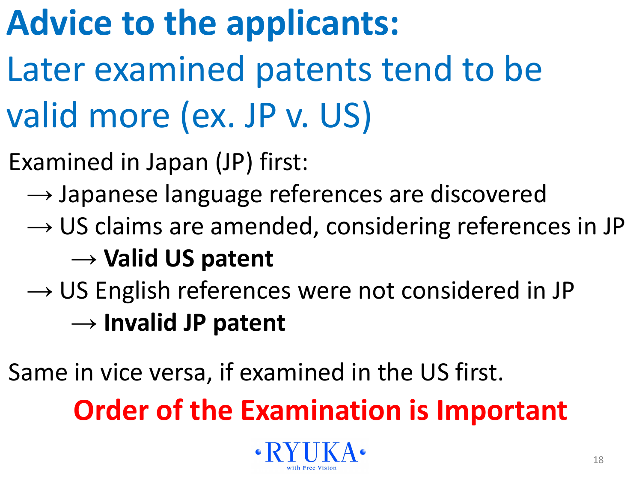### **Advice to the applicants:**

- Later examined patents tend to be valid more (ex. JP v. US)
- Examined in Japan (JP) first:
	- $\rightarrow$  Japanese language references are discovered
	- $\rightarrow$  US claims are amended, considering references in JP

#### → **Valid US patent**

→ US English references were not considered in JP → **Invalid JP patent**

Same in vice versa, if examined in the US first.

**Order of the Examination is Important**

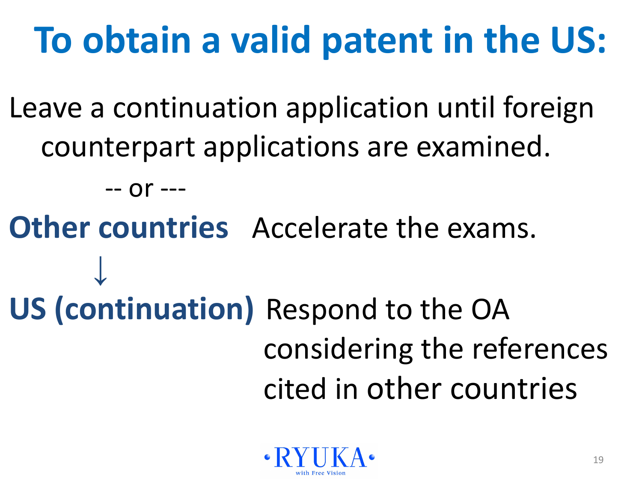## **To obtain a valid patent in the US:**

Leave a continuation application until foreign counterpart applications are examined.

-- or ---

**Other countries** Accelerate the exams. **↓ US (continuation)** Respond to the OA considering the references cited in other countries

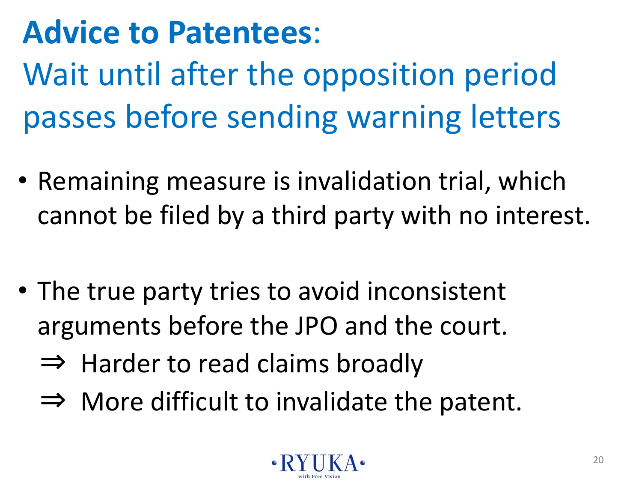### **Advice to Patentees**:

Wait until after the opposition period passes before sending warning letters

- Remaining measure is invalidation trial, which cannot be filed by a third party with no interest.
- The true party tries to avoid inconsistent arguments before the JPO and the court.
	- $\Rightarrow$  Harder to read claims broadly
	- $\Rightarrow$  More difficult to invalidate the patent.